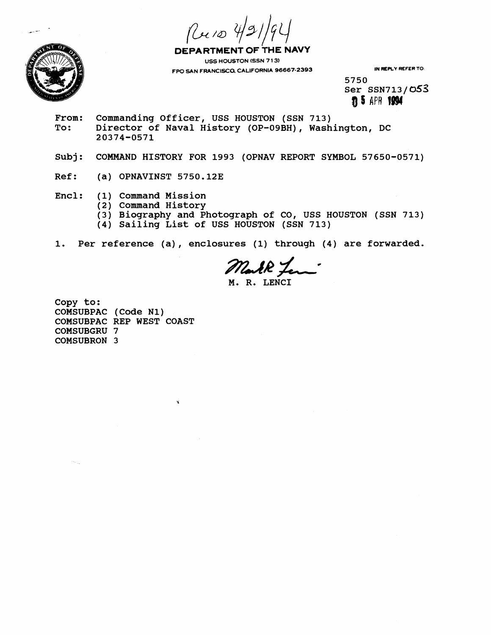Ruio 4/21



DEPARTMENT OF THE NAVY **USS HOUSTON (SSN 7 13) FPO SAN FRANCISCO, CALIFORNIA 96667-2393 IN REPLY REFER TO:** 

**5750 Ser SSN713/ 053 n 5 APR 1994** 

- From: Commanding Officer, USS HOUSTON (SSN 713)<br>To: Director of Naval History (OP-09BH), Wash **To: Director of Naval History (OP-OSBH), Washington, DC 20374-0571**
- **Subj: COMMAND HISTORY FOR 1993 (OPNAV REPORT SYMBOL 57650-0571)**
- **Ref:** (a) OPNAVINST 5750.12E
- **Encl: (1) Command Mission** 
	- **(2) Conunand History** 
		- **(3) Biography and Photograph of CO, USS HOUSTON (SSN 713)**
		- **(4) Sailing List of USS HOUSTON (SSN 713)**

**1. Per reference (a), enclosures (1) through (4) are forwarded.** 

**M. R. LENCI** 

**Copy to: COMSUBPAC (Code N1) COMSUBPAC REP WEST COAST COMSUBGRU 7 COMSUBRON 3**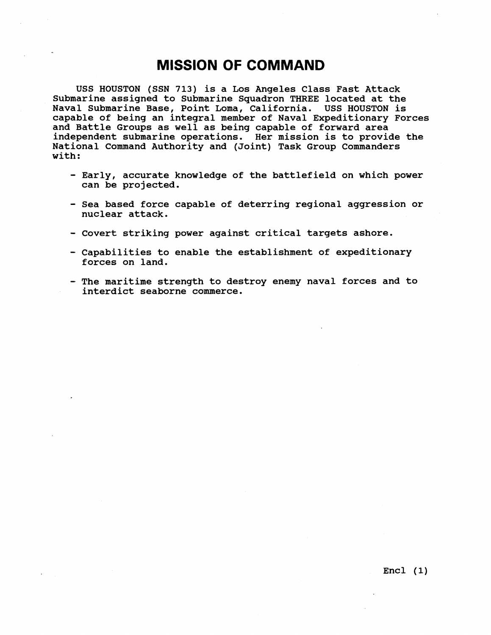## **MISSION OF COMMAND**

**USS HOUSTON (SSN 713) is a Los Angeles Class Fast Attack Submarine assigned to Submarine Squadron THREE located at the Naval Submarine Base, Point Loma, California. USS HOUSTON is capable of being an integral member of Naval Expeditionary Forces and Battle Groups as well as being capable of forward area independent submarine operations. Her mission is to provide the National Command Authority and (Joint) Task Group Commanders with:** 

- **Early, accurate knowledge of the battlefield on which power can be projected.**
- **Sea based force capable of deterring regional aggression or nuclear attack.**
- **Covert striking power against critical targets ashore.**
- **Capabilities to enable the establishment of expeditionary forces on land.**
- **The maritime strength to destroy enemy naval forces and to interdict seaborne commerce.**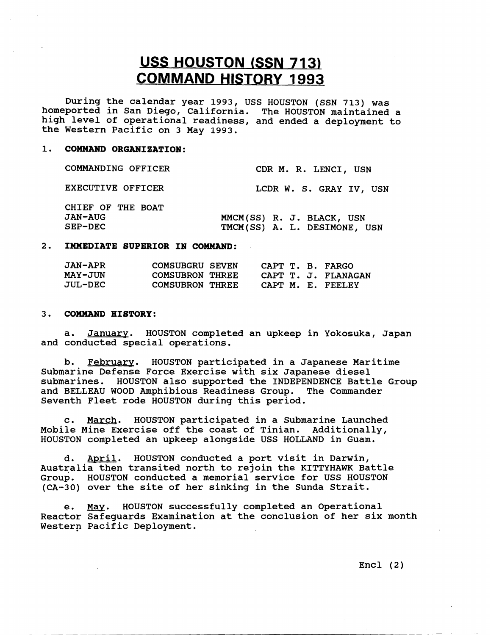# **USS HOUSTON (SSN 713) COMMAND HISTORY 1993**

During the calendar year 1993, USS HOUSTON (SSN 713) was homeported in San Diego, California. The HOUSTON maintained a high level of operational readiness, and ended a deployment to the Western Pacific on 3 May 1993.

## 1. COMMAND ORGANIZATION:

| COMMANDING OFFICER                  | CDR M. R. LENCI, USN         |
|-------------------------------------|------------------------------|
| EXECUTIVE OFFICER                   | LCDR W. S. GRAY IV, USN      |
| CHIEF OF THE BOAT<br><b>JAN-AUG</b> | MMCM(SS) R. J. BLACK, USN    |
| SEP-DEC                             | TMCM(SS) A. L. DESIMONE, USN |

### **2. IMMEDIATE SUPERIOR IN COMMAND:**

| <b>JAN-APR</b> | COMSUBGRU SEVEN        | CAPT T. B. FARGO  |                     |
|----------------|------------------------|-------------------|---------------------|
| <b>MAY-JUN</b> | <b>COMSUBRON THREE</b> |                   | CAPT T. J. FLANAGAN |
| <b>JUL-DEC</b> | <b>COMSUBRON THREE</b> | CAPT M. E. FEELEY |                     |

### 3. **COMM2WD HISTORY** :

a. January. HOUSTON completed an upkeep in Yokosuka, Japan and conducted special operations.

b. February. HOUSTON participated in a Japanese Maritime Submarine Defense Force Exercise with six Japanese diesel submarines. HOUSTON also supported the INDEPENDENCE Battle Group and BELLEAU WOOD Amphibious Readiness Group. The Commander Seventh Fleet rode HOUSTON during this period.

c. March. HOUSTON participated in a Submarine Launched Mobile Mine Exercise off the coast of Tinian. Additionally, HOUSTON completed an upkeep alongside USS HOLLAND in Guam.

d. April. HOUSTON conducted a port visit in Darwin, Australia then transited north to rejoin the KITTYHAWK Battle Group. HOUSTON conducted a memorial service for USS HOUSTON (CA--30) over the site of her sinking in the Sunda Strait.

e. May. HOUSTON successfully completed an Operational Reactor Safeguards Examination at the conclusion of her six month Western Pacific Deployment.

 $Encl (2)$